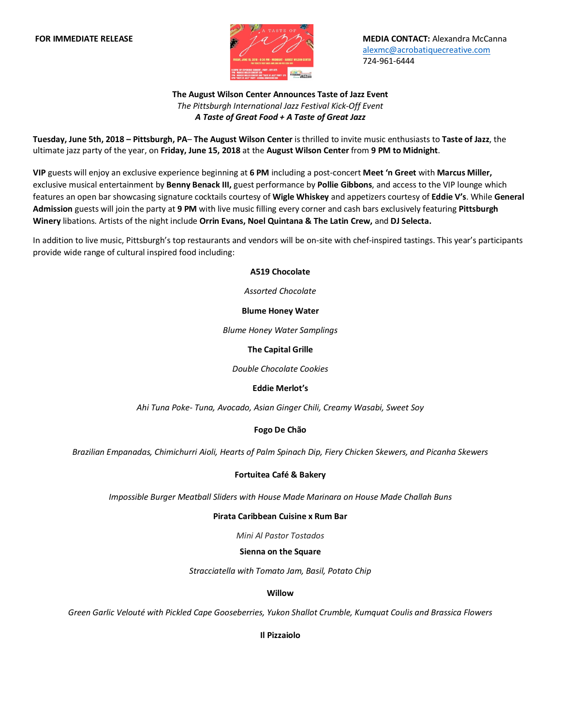

**FOR IMMEDIATE RELEASE MEDIA CONTACT:** Alexandra McCanna alexmc@acrobatiquecreative.com 724-961-6444

# **The August Wilson Center Announces Taste of Jazz Event**  *The Pittsburgh International Jazz Festival Kick-Off Event A Taste of Great Food + A Taste of Great Jazz*

**Tuesday, June 5th, 2018 – Pittsburgh, PA**– **The August Wilson Center** is thrilled to invite music enthusiasts to **Taste of Jazz**, the ultimate jazz party of the year, on **Friday, June 15, 2018** at the **August Wilson Center** from **9 PM to Midnight**.

**VIP** guests will enjoy an exclusive experience beginning at **6 PM** including a post-concert **Meet 'n Greet** with **Marcus Miller,**  exclusive musical entertainment by **Benny Benack III,** guest performance by **Pollie Gibbons**, and access to the VIP lounge which features an open bar showcasing signature cocktails courtesy of **Wigle Whiskey** and appetizers courtesy of **Eddie V's**. While **General Admission** guests will join the party at **9 PM** with live music filling every corner and cash bars exclusively featuring **Pittsburgh Winery** libations. Artists of the night include **Orrin Evans, Noel Quintana & The Latin Crew,** and **DJ Selecta.**

In addition to live music, Pittsburgh's top restaurants and vendors will be on-site with chef-inspired tastings. This year's participants provide wide range of cultural inspired food including:

**A519 Chocolate**

*Assorted Chocolate*

### **Blume Honey Water**

*Blume Honey Water Samplings*

### **The Capital Grille**

*Double Chocolate Cookies*

## **Eddie Merlot's**

*Ahi Tuna Poke- Tuna, Avocado, Asian Ginger Chili, Creamy Wasabi, Sweet Soy*

## **Fogo De Chão**

*Brazilian Empanadas, Chimichurri Aioli, Hearts of Palm Spinach Dip, Fiery Chicken Skewers, and Picanha Skewers*

## **Fortuitea Café & Bakery**

*Impossible Burger Meatball Sliders with House Made Marinara on House Made Challah Buns*

#### **Pirata Caribbean Cuisine x Rum Bar**

*Mini Al Pastor Tostados*

#### **Sienna on the Square**

*Stracciatella with Tomato Jam, Basil, Potato Chip*

#### **Willow**

*Green Garlic Velouté with Pickled Cape Gooseberries, Yukon Shallot Crumble, Kumquat Coulis and Brassica Flowers*

**Il Pizzaiolo**